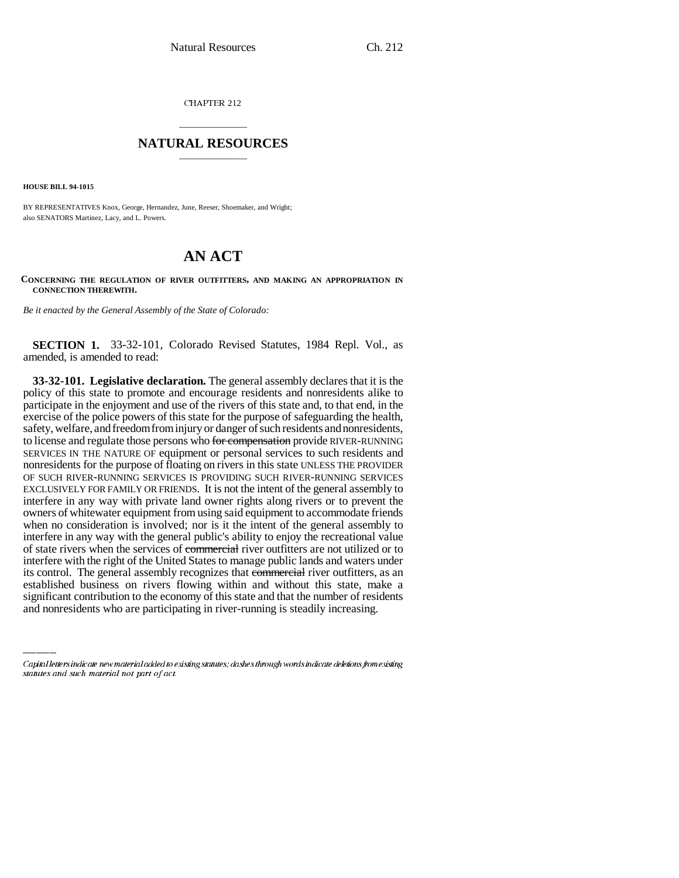CHAPTER 212

# \_\_\_\_\_\_\_\_\_\_\_\_\_\_\_ **NATURAL RESOURCES** \_\_\_\_\_\_\_\_\_\_\_\_\_\_\_

**HOUSE BILL 94-1015**

BY REPRESENTATIVES Knox, George, Hernandez, June, Reeser, Shoemaker, and Wright; also SENATORS Martinez, Lacy, and L. Powers.

# **AN ACT**

## **CONCERNING THE REGULATION OF RIVER OUTFITTERS, AND MAKING AN APPROPRIATION IN CONNECTION THEREWITH.**

*Be it enacted by the General Assembly of the State of Colorado:*

**SECTION 1.** 33-32-101, Colorado Revised Statutes, 1984 Repl. Vol., as amended, is amended to read:

its control. The general assembly recognizes that **commercial** river outfitters, as an **33-32-101. Legislative declaration.** The general assembly declares that it is the policy of this state to promote and encourage residents and nonresidents alike to participate in the enjoyment and use of the rivers of this state and, to that end, in the exercise of the police powers of this state for the purpose of safeguarding the health, safety, welfare, and freedom from injury or danger of such residents and nonresidents, to license and regulate those persons who for compensation provide RIVER-RUNNING SERVICES IN THE NATURE OF equipment or personal services to such residents and nonresidents for the purpose of floating on rivers in this state UNLESS THE PROVIDER OF SUCH RIVER-RUNNING SERVICES IS PROVIDING SUCH RIVER-RUNNING SERVICES EXCLUSIVELY FOR FAMILY OR FRIENDS. It is not the intent of the general assembly to interfere in any way with private land owner rights along rivers or to prevent the owners of whitewater equipment from using said equipment to accommodate friends when no consideration is involved; nor is it the intent of the general assembly to interfere in any way with the general public's ability to enjoy the recreational value of state rivers when the services of commercial river outfitters are not utilized or to interfere with the right of the United States to manage public lands and waters under established business on rivers flowing within and without this state, make a significant contribution to the economy of this state and that the number of residents and nonresidents who are participating in river-running is steadily increasing.

Capital letters indicate new material added to existing statutes; dashes through words indicate deletions from existing statutes and such material not part of act.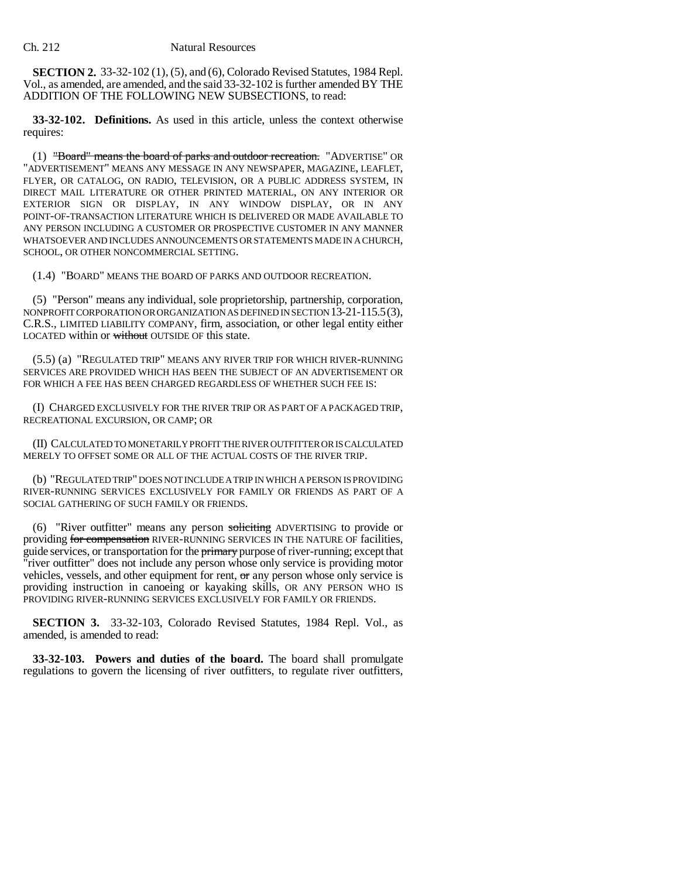**SECTION 2.** 33-32-102 (1), (5), and (6), Colorado Revised Statutes, 1984 Repl. Vol., as amended, are amended, and the said 33-32-102 is further amended BY THE ADDITION OF THE FOLLOWING NEW SUBSECTIONS, to read:

**33-32-102. Definitions.** As used in this article, unless the context otherwise requires:

(1) "Board" means the board of parks and outdoor recreation. "ADVERTISE" OR "ADVERTISEMENT" MEANS ANY MESSAGE IN ANY NEWSPAPER, MAGAZINE, LEAFLET, FLYER, OR CATALOG, ON RADIO, TELEVISION, OR A PUBLIC ADDRESS SYSTEM, IN DIRECT MAIL LITERATURE OR OTHER PRINTED MATERIAL, ON ANY INTERIOR OR EXTERIOR SIGN OR DISPLAY, IN ANY WINDOW DISPLAY, OR IN ANY POINT-OF-TRANSACTION LITERATURE WHICH IS DELIVERED OR MADE AVAILABLE TO ANY PERSON INCLUDING A CUSTOMER OR PROSPECTIVE CUSTOMER IN ANY MANNER WHATSOEVER AND INCLUDES ANNOUNCEMENTS OR STATEMENTS MADE IN A CHURCH, SCHOOL, OR OTHER NONCOMMERCIAL SETTING.

(1.4) "BOARD" MEANS THE BOARD OF PARKS AND OUTDOOR RECREATION.

(5) "Person" means any individual, sole proprietorship, partnership, corporation, NONPROFIT CORPORATION OR ORGANIZATION AS DEFINED IN SECTION 13-21-115.5(3), C.R.S., LIMITED LIABILITY COMPANY, firm, association, or other legal entity either LOCATED within or without OUTSIDE OF this state.

(5.5) (a) "REGULATED TRIP" MEANS ANY RIVER TRIP FOR WHICH RIVER-RUNNING SERVICES ARE PROVIDED WHICH HAS BEEN THE SUBJECT OF AN ADVERTISEMENT OR FOR WHICH A FEE HAS BEEN CHARGED REGARDLESS OF WHETHER SUCH FEE IS:

(I) CHARGED EXCLUSIVELY FOR THE RIVER TRIP OR AS PART OF A PACKAGED TRIP, RECREATIONAL EXCURSION, OR CAMP; OR

(II) CALCULATED TO MONETARILY PROFIT THE RIVER OUTFITTER OR IS CALCULATED MERELY TO OFFSET SOME OR ALL OF THE ACTUAL COSTS OF THE RIVER TRIP.

(b) "REGULATED TRIP" DOES NOT INCLUDE A TRIP IN WHICH A PERSON IS PROVIDING RIVER-RUNNING SERVICES EXCLUSIVELY FOR FAMILY OR FRIENDS AS PART OF A SOCIAL GATHERING OF SUCH FAMILY OR FRIENDS.

(6) "River outfitter" means any person soliciting ADVERTISING to provide or providing for compensation RIVER-RUNNING SERVICES IN THE NATURE OF facilities, guide services, or transportation for the *primary* purpose of river-running; except that "river outfitter" does not include any person whose only service is providing motor vehicles, vessels, and other equipment for rent, or any person whose only service is providing instruction in canoeing or kayaking skills, OR ANY PERSON WHO IS PROVIDING RIVER-RUNNING SERVICES EXCLUSIVELY FOR FAMILY OR FRIENDS.

**SECTION 3.** 33-32-103, Colorado Revised Statutes, 1984 Repl. Vol., as amended, is amended to read:

**33-32-103. Powers and duties of the board.** The board shall promulgate regulations to govern the licensing of river outfitters, to regulate river outfitters,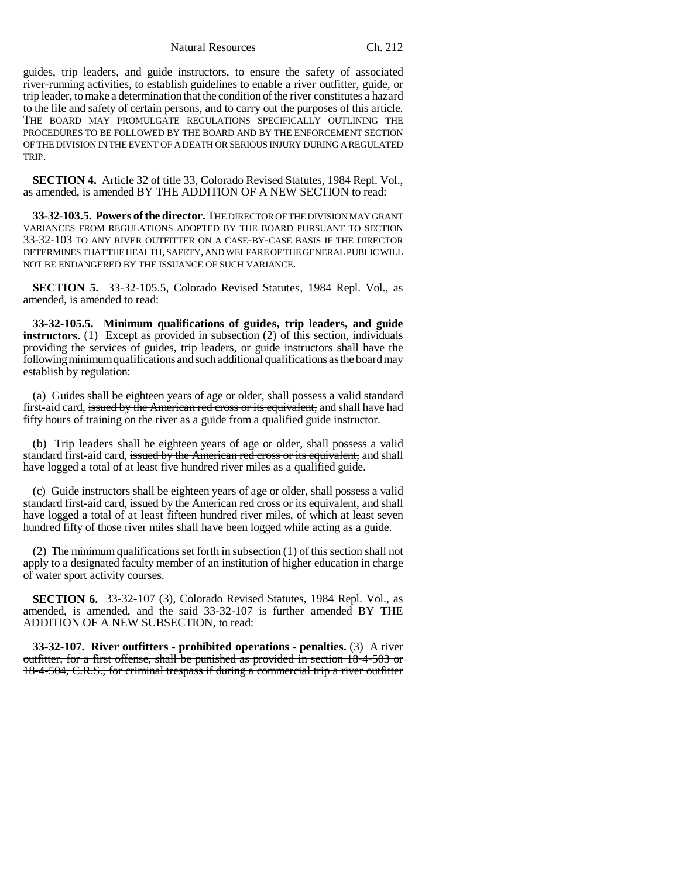Natural Resources Ch. 212

guides, trip leaders, and guide instructors, to ensure the safety of associated river-running activities, to establish guidelines to enable a river outfitter, guide, or trip leader, to make a determination that the condition of the river constitutes a hazard to the life and safety of certain persons, and to carry out the purposes of this article. THE BOARD MAY PROMULGATE REGULATIONS SPECIFICALLY OUTLINING THE PROCEDURES TO BE FOLLOWED BY THE BOARD AND BY THE ENFORCEMENT SECTION OF THE DIVISION IN THE EVENT OF A DEATH OR SERIOUS INJURY DURING A REGULATED TRIP.

**SECTION 4.** Article 32 of title 33, Colorado Revised Statutes, 1984 Repl. Vol., as amended, is amended BY THE ADDITION OF A NEW SECTION to read:

**33-32-103.5. Powers of the director.** THE DIRECTOR OF THE DIVISION MAY GRANT VARIANCES FROM REGULATIONS ADOPTED BY THE BOARD PURSUANT TO SECTION 33-32-103 TO ANY RIVER OUTFITTER ON A CASE-BY-CASE BASIS IF THE DIRECTOR DETERMINES THAT THE HEALTH, SAFETY, AND WELFARE OF THE GENERAL PUBLIC WILL NOT BE ENDANGERED BY THE ISSUANCE OF SUCH VARIANCE.

**SECTION 5.** 33-32-105.5, Colorado Revised Statutes, 1984 Repl. Vol., as amended, is amended to read:

**33-32-105.5. Minimum qualifications of guides, trip leaders, and guide instructors.** (1) Except as provided in subsection (2) of this section, individuals providing the services of guides, trip leaders, or guide instructors shall have the following minimum qualifications and such additional qualifications as the board may establish by regulation:

(a) Guides shall be eighteen years of age or older, shall possess a valid standard first-aid card, issued by the American red cross or its equivalent, and shall have had fifty hours of training on the river as a guide from a qualified guide instructor.

(b) Trip leaders shall be eighteen years of age or older, shall possess a valid standard first-aid card, issued by the American red cross or its equivalent, and shall have logged a total of at least five hundred river miles as a qualified guide.

(c) Guide instructors shall be eighteen years of age or older, shall possess a valid standard first-aid card, issued by the American red cross or its equivalent, and shall have logged a total of at least fifteen hundred river miles, of which at least seven hundred fifty of those river miles shall have been logged while acting as a guide.

(2) The minimum qualifications set forth in subsection (1) of this section shall not apply to a designated faculty member of an institution of higher education in charge of water sport activity courses.

**SECTION 6.** 33-32-107 (3), Colorado Revised Statutes, 1984 Repl. Vol., as amended, is amended, and the said 33-32-107 is further amended BY THE ADDITION OF A NEW SUBSECTION, to read:

**33-32-107. River outfitters - prohibited operations - penalties.** (3) A river outfitter, for a first offense, shall be punished as provided in section 18-4-503 or 18-4-504, C.R.S., for criminal trespass if during a commercial trip a river outfitter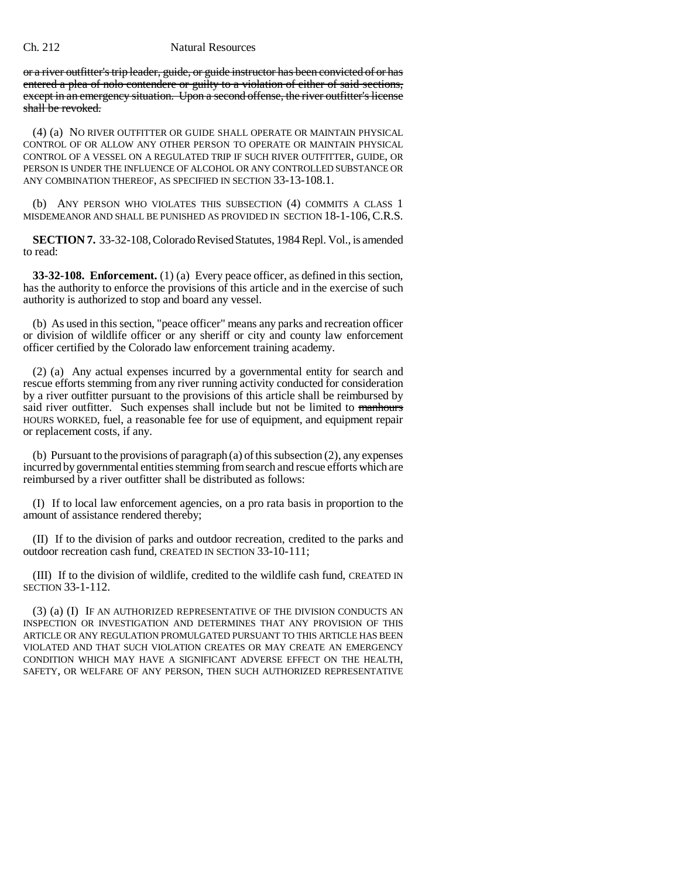### Ch. 212 Natural Resources

or a river outfitter's trip leader, guide, or guide instructor has been convicted of or has entered a plea of nolo contendere or guilty to a violation of either of said sections, except in an emergency situation. Upon a second offense, the river outfitter's license shall be revoked.

(4) (a) NO RIVER OUTFITTER OR GUIDE SHALL OPERATE OR MAINTAIN PHYSICAL CONTROL OF OR ALLOW ANY OTHER PERSON TO OPERATE OR MAINTAIN PHYSICAL CONTROL OF A VESSEL ON A REGULATED TRIP IF SUCH RIVER OUTFITTER, GUIDE, OR PERSON IS UNDER THE INFLUENCE OF ALCOHOL OR ANY CONTROLLED SUBSTANCE OR ANY COMBINATION THEREOF, AS SPECIFIED IN SECTION 33-13-108.1.

(b) ANY PERSON WHO VIOLATES THIS SUBSECTION (4) COMMITS A CLASS 1 MISDEMEANOR AND SHALL BE PUNISHED AS PROVIDED IN SECTION 18-1-106, C.R.S.

**SECTION 7.** 33-32-108, Colorado Revised Statutes, 1984 Repl. Vol., is amended to read:

**33-32-108. Enforcement.** (1) (a) Every peace officer, as defined in this section, has the authority to enforce the provisions of this article and in the exercise of such authority is authorized to stop and board any vessel.

(b) As used in this section, "peace officer" means any parks and recreation officer or division of wildlife officer or any sheriff or city and county law enforcement officer certified by the Colorado law enforcement training academy.

(2) (a) Any actual expenses incurred by a governmental entity for search and rescue efforts stemming from any river running activity conducted for consideration by a river outfitter pursuant to the provisions of this article shall be reimbursed by said river outfitter. Such expenses shall include but not be limited to manhours HOURS WORKED, fuel, a reasonable fee for use of equipment, and equipment repair or replacement costs, if any.

(b) Pursuant to the provisions of paragraph (a) of this subsection (2), any expenses incurred by governmental entities stemming from search and rescue efforts which are reimbursed by a river outfitter shall be distributed as follows:

(I) If to local law enforcement agencies, on a pro rata basis in proportion to the amount of assistance rendered thereby;

(II) If to the division of parks and outdoor recreation, credited to the parks and outdoor recreation cash fund, CREATED IN SECTION 33-10-111;

(III) If to the division of wildlife, credited to the wildlife cash fund, CREATED IN SECTION 33-1-112.

(3) (a) (I) IF AN AUTHORIZED REPRESENTATIVE OF THE DIVISION CONDUCTS AN INSPECTION OR INVESTIGATION AND DETERMINES THAT ANY PROVISION OF THIS ARTICLE OR ANY REGULATION PROMULGATED PURSUANT TO THIS ARTICLE HAS BEEN VIOLATED AND THAT SUCH VIOLATION CREATES OR MAY CREATE AN EMERGENCY CONDITION WHICH MAY HAVE A SIGNIFICANT ADVERSE EFFECT ON THE HEALTH, SAFETY, OR WELFARE OF ANY PERSON, THEN SUCH AUTHORIZED REPRESENTATIVE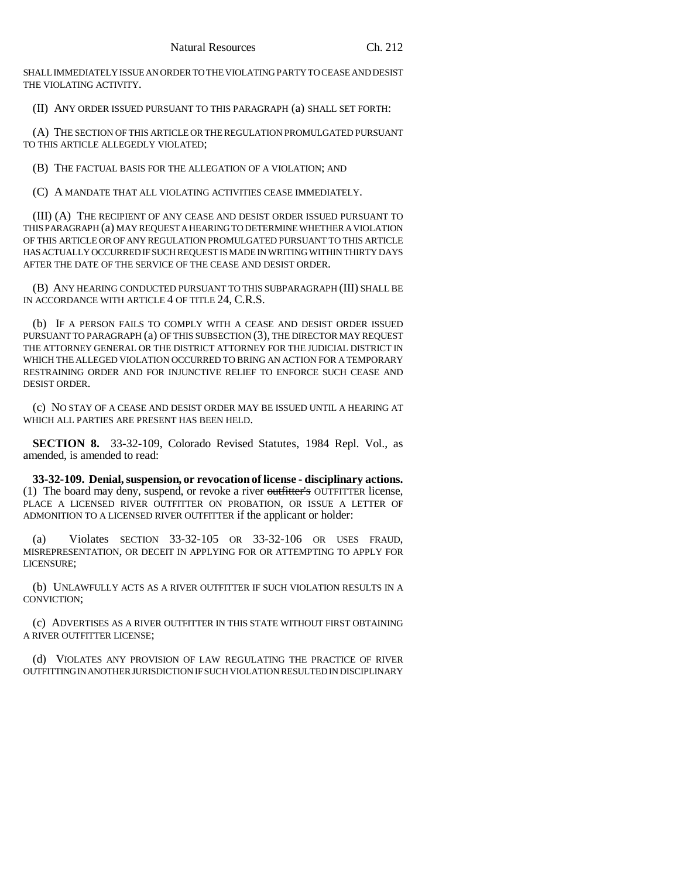SHALL IMMEDIATELY ISSUE AN ORDER TO THE VIOLATING PARTY TO CEASE AND DESIST THE VIOLATING ACTIVITY.

(II) ANY ORDER ISSUED PURSUANT TO THIS PARAGRAPH (a) SHALL SET FORTH:

(A) THE SECTION OF THIS ARTICLE OR THE REGULATION PROMULGATED PURSUANT TO THIS ARTICLE ALLEGEDLY VIOLATED;

(B) THE FACTUAL BASIS FOR THE ALLEGATION OF A VIOLATION; AND

(C) A MANDATE THAT ALL VIOLATING ACTIVITIES CEASE IMMEDIATELY.

(III) (A) THE RECIPIENT OF ANY CEASE AND DESIST ORDER ISSUED PURSUANT TO THIS PARAGRAPH (a) MAY REQUEST A HEARING TO DETERMINE WHETHER A VIOLATION OF THIS ARTICLE OR OF ANY REGULATION PROMULGATED PURSUANT TO THIS ARTICLE HAS ACTUALLY OCCURRED IF SUCH REQUEST IS MADE IN WRITING WITHIN THIRTY DAYS AFTER THE DATE OF THE SERVICE OF THE CEASE AND DESIST ORDER.

(B) ANY HEARING CONDUCTED PURSUANT TO THIS SUBPARAGRAPH (III) SHALL BE IN ACCORDANCE WITH ARTICLE 4 OF TITLE 24, C.R.S.

(b) IF A PERSON FAILS TO COMPLY WITH A CEASE AND DESIST ORDER ISSUED PURSUANT TO PARAGRAPH (a) OF THIS SUBSECTION (3), THE DIRECTOR MAY REQUEST THE ATTORNEY GENERAL OR THE DISTRICT ATTORNEY FOR THE JUDICIAL DISTRICT IN WHICH THE ALLEGED VIOLATION OCCURRED TO BRING AN ACTION FOR A TEMPORARY RESTRAINING ORDER AND FOR INJUNCTIVE RELIEF TO ENFORCE SUCH CEASE AND DESIST ORDER.

(c) NO STAY OF A CEASE AND DESIST ORDER MAY BE ISSUED UNTIL A HEARING AT WHICH ALL PARTIES ARE PRESENT HAS BEEN HELD.

**SECTION 8.** 33-32-109, Colorado Revised Statutes, 1984 Repl. Vol., as amended, is amended to read:

**33-32-109. Denial, suspension, or revocation of license - disciplinary actions.** (1) The board may deny, suspend, or revoke a river outfitter's OUTFITTER license, PLACE A LICENSED RIVER OUTFITTER ON PROBATION, OR ISSUE A LETTER OF ADMONITION TO A LICENSED RIVER OUTFITTER if the applicant or holder:

(a) Violates SECTION 33-32-105 OR 33-32-106 OR USES FRAUD, MISREPRESENTATION, OR DECEIT IN APPLYING FOR OR ATTEMPTING TO APPLY FOR LICENSURE;

(b) UNLAWFULLY ACTS AS A RIVER OUTFITTER IF SUCH VIOLATION RESULTS IN A CONVICTION;

(c) ADVERTISES AS A RIVER OUTFITTER IN THIS STATE WITHOUT FIRST OBTAINING A RIVER OUTFITTER LICENSE;

(d) VIOLATES ANY PROVISION OF LAW REGULATING THE PRACTICE OF RIVER OUTFITTING IN ANOTHER JURISDICTION IF SUCH VIOLATION RESULTED IN DISCIPLINARY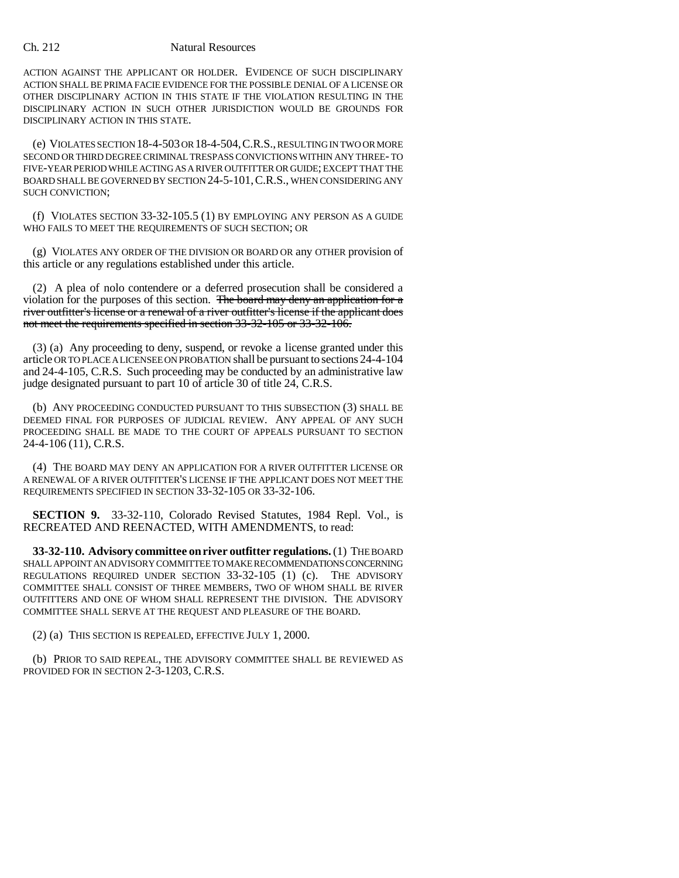### Ch. 212 Natural Resources

ACTION AGAINST THE APPLICANT OR HOLDER. EVIDENCE OF SUCH DISCIPLINARY ACTION SHALL BE PRIMA FACIE EVIDENCE FOR THE POSSIBLE DENIAL OF A LICENSE OR OTHER DISCIPLINARY ACTION IN THIS STATE IF THE VIOLATION RESULTING IN THE DISCIPLINARY ACTION IN SUCH OTHER JURISDICTION WOULD BE GROUNDS FOR DISCIPLINARY ACTION IN THIS STATE.

(e) VIOLATES SECTION 18-4-503 OR 18-4-504,C.R.S., RESULTING IN TWO OR MORE SECOND OR THIRD DEGREE CRIMINAL TRESPASS CONVICTIONS WITHIN ANY THREE- TO FIVE-YEAR PERIOD WHILE ACTING AS A RIVER OUTFITTER OR GUIDE; EXCEPT THAT THE BOARD SHALL BE GOVERNED BY SECTION 24-5-101,C.R.S., WHEN CONSIDERING ANY SUCH CONVICTION;

(f) VIOLATES SECTION 33-32-105.5 (1) BY EMPLOYING ANY PERSON AS A GUIDE WHO FAILS TO MEET THE REQUIREMENTS OF SUCH SECTION; OR

(g) VIOLATES ANY ORDER OF THE DIVISION OR BOARD OR any OTHER provision of this article or any regulations established under this article.

(2) A plea of nolo contendere or a deferred prosecution shall be considered a violation for the purposes of this section. The board may deny an application for a river outfitter's license or a renewal of a river outfitter's license if the applicant does not meet the requirements specified in section 33-32-105 or 33-32-106.

(3) (a) Any proceeding to deny, suspend, or revoke a license granted under this article OR TO PLACE A LICENSEE ON PROBATION shall be pursuant to sections 24-4-104 and 24-4-105, C.R.S. Such proceeding may be conducted by an administrative law judge designated pursuant to part 10 of article 30 of title 24, C.R.S.

(b) ANY PROCEEDING CONDUCTED PURSUANT TO THIS SUBSECTION (3) SHALL BE DEEMED FINAL FOR PURPOSES OF JUDICIAL REVIEW. ANY APPEAL OF ANY SUCH PROCEEDING SHALL BE MADE TO THE COURT OF APPEALS PURSUANT TO SECTION 24-4-106 (11), C.R.S.

(4) THE BOARD MAY DENY AN APPLICATION FOR A RIVER OUTFITTER LICENSE OR A RENEWAL OF A RIVER OUTFITTER'S LICENSE IF THE APPLICANT DOES NOT MEET THE REQUIREMENTS SPECIFIED IN SECTION 33-32-105 OR 33-32-106.

**SECTION 9.** 33-32-110, Colorado Revised Statutes, 1984 Repl. Vol., is RECREATED AND REENACTED, WITH AMENDMENTS, to read:

**33-32-110. Advisory committee on river outfitter regulations.** (1) THE BOARD SHALL APPOINT AN ADVISORY COMMITTEE TO MAKE RECOMMENDATIONS CONCERNING REGULATIONS REQUIRED UNDER SECTION 33-32-105 (1) (c). THE ADVISORY COMMITTEE SHALL CONSIST OF THREE MEMBERS, TWO OF WHOM SHALL BE RIVER OUTFITTERS AND ONE OF WHOM SHALL REPRESENT THE DIVISION. THE ADVISORY COMMITTEE SHALL SERVE AT THE REQUEST AND PLEASURE OF THE BOARD.

(2) (a) THIS SECTION IS REPEALED, EFFECTIVE JULY 1, 2000.

(b) PRIOR TO SAID REPEAL, THE ADVISORY COMMITTEE SHALL BE REVIEWED AS PROVIDED FOR IN SECTION 2-3-1203, C.R.S.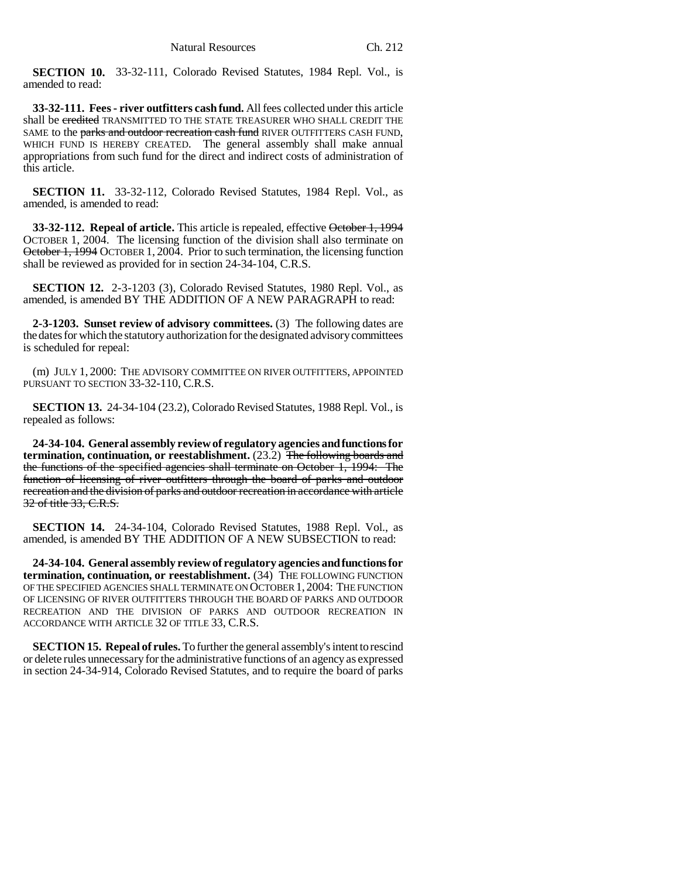**SECTION 10.** 33-32-111, Colorado Revised Statutes, 1984 Repl. Vol., is amended to read:

**33-32-111. Fees - river outfitters cash fund.** All fees collected under this article shall be credited TRANSMITTED TO THE STATE TREASURER WHO SHALL CREDIT THE SAME to the parks and outdoor recreation cash fund RIVER OUTFITTERS CASH FUND, WHICH FUND IS HEREBY CREATED. The general assembly shall make annual appropriations from such fund for the direct and indirect costs of administration of this article.

**SECTION 11.** 33-32-112, Colorado Revised Statutes, 1984 Repl. Vol., as amended, is amended to read:

**33-32-112. Repeal of article.** This article is repealed, effective October 1, 1994 OCTOBER 1, 2004. The licensing function of the division shall also terminate on October 1, 1994 OCTOBER 1, 2004. Prior to such termination, the licensing function shall be reviewed as provided for in section 24-34-104, C.R.S.

**SECTION 12.** 2-3-1203 (3), Colorado Revised Statutes, 1980 Repl. Vol., as amended, is amended BY THE ADDITION OF A NEW PARAGRAPH to read:

**2-3-1203. Sunset review of advisory committees.** (3) The following dates are the dates for which the statutory authorization for the designated advisory committees is scheduled for repeal:

(m) JULY 1, 2000: THE ADVISORY COMMITTEE ON RIVER OUTFITTERS, APPOINTED PURSUANT TO SECTION 33-32-110, C.R.S.

**SECTION 13.** 24-34-104 (23.2), Colorado Revised Statutes, 1988 Repl. Vol., is repealed as follows:

**24-34-104. General assembly review of regulatory agencies and functions for termination, continuation, or reestablishment.** (23.2) The following boards and the functions of the specified agencies shall terminate on October 1, 1994: The function of licensing of river outfitters through the board of parks and outdoor recreation and the division of parks and outdoor recreation in accordance with article 32 of title 33, C.R.S.

**SECTION 14.** 24-34-104, Colorado Revised Statutes, 1988 Repl. Vol., as amended, is amended BY THE ADDITION OF A NEW SUBSECTION to read:

**24-34-104. General assembly review of regulatory agencies and functions for termination, continuation, or reestablishment.** (34) THE FOLLOWING FUNCTION OF THE SPECIFIED AGENCIES SHALL TERMINATE ON OCTOBER 1, 2004: THE FUNCTION OF LICENSING OF RIVER OUTFITTERS THROUGH THE BOARD OF PARKS AND OUTDOOR RECREATION AND THE DIVISION OF PARKS AND OUTDOOR RECREATION IN ACCORDANCE WITH ARTICLE 32 OF TITLE 33, C.R.S.

**SECTION 15. Repeal of rules.** To further the general assembly's intent to rescind or delete rules unnecessary for the administrative functions of an agency as expressed in section 24-34-914, Colorado Revised Statutes, and to require the board of parks